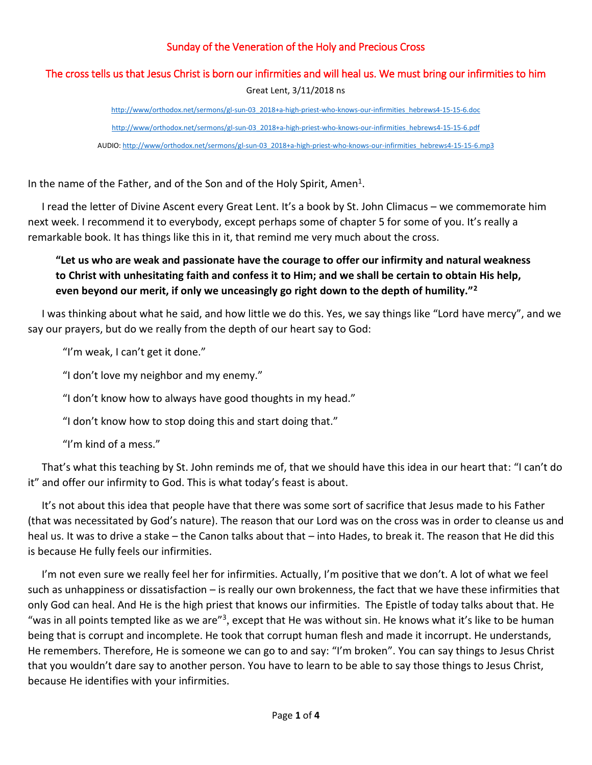## Sunday of the Veneration of the Holy and Precious Cross

## The cross tells us that Jesus Christ is born our infirmities and will heal us. We must bring our infirmities to him Great Lent, 3/11/2018 ns

[http://www/orthodox.net/sermons/gl-sun-03\\_2018+a-high-priest-who-knows-our-infirmities\\_hebrews4-15-15-6.doc](https://www.orthodox.net//sermons/gl-sun-03_2018+a-high-priest-who-knows-our-infirmities_hebrews4-15-15-6.doc) [http://www/orthodox.net/sermons/gl-sun-03\\_2018+a-high-priest-who-knows-our-infirmities\\_hebrews4-15-15-6.pdf](https://www.orthodox.net//sermons/gl-sun-03_2018+a-high-priest-who-knows-our-infirmities_hebrews4-15-15-6.pdf) AUDIO[: http://www/orthodox.net/sermons/gl-sun-03\\_2018+a-high-priest-who-knows-our-infirmities\\_hebrews4-15-15-6.mp3](https://www.orthodox.net//sermons/gl-sun-03_2018+a-high-priest-who-knows-our-infirmities_hebrews4-15-15-6.mp3)

In the name of the Father, and of the Son and of the Holy Spirit, Amen<sup>1</sup>.

I read the letter of Divine Ascent every Great Lent. It's a book by St. John Climacus – we commemorate him next week. I recommend it to everybody, except perhaps some of chapter 5 for some of you. It's really a remarkable book. It has things like this in it, that remind me very much about the cross.

## **"Let us who are weak and passionate have the courage to offer our infirmity and natural weakness to Christ with unhesitating faith and confess it to Him; and we shall be certain to obtain His help, even beyond our merit, if only we unceasingly go right down to the depth of humility."<sup>2</sup>**

I was thinking about what he said, and how little we do this. Yes, we say things like "Lord have mercy", and we say our prayers, but do we really from the depth of our heart say to God:

"I'm weak, I can't get it done."

"I don't love my neighbor and my enemy."

"I don't know how to always have good thoughts in my head."

"I don't know how to stop doing this and start doing that."

"I'm kind of a mess."

That's what this teaching by St. John reminds me of, that we should have this idea in our heart that: "I can't do it" and offer our infirmity to God. This is what today's feast is about.

It's not about this idea that people have that there was some sort of sacrifice that Jesus made to his Father (that was necessitated by God's nature). The reason that our Lord was on the cross was in order to cleanse us and heal us. It was to drive a stake – the Canon talks about that – into Hades, to break it. The reason that He did this is because He fully feels our infirmities.

I'm not even sure we really feel her for infirmities. Actually, I'm positive that we don't. A lot of what we feel such as unhappiness or dissatisfaction – is really our own brokenness, the fact that we have these infirmities that only God can heal. And He is the high priest that knows our infirmities. The Epistle of today talks about that. He "was in all points tempted like as we are"<sup>3</sup>, except that He was without sin. He knows what it's like to be human being that is corrupt and incomplete. He took that corrupt human flesh and made it incorrupt. He understands, He remembers. Therefore, He is someone we can go to and say: "I'm broken". You can say things to Jesus Christ that you wouldn't dare say to another person. You have to learn to be able to say those things to Jesus Christ, because He identifies with your infirmities.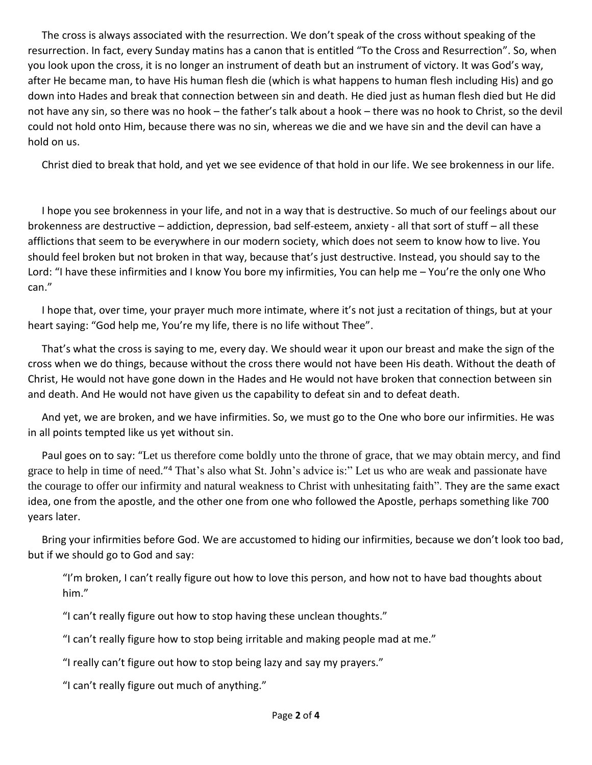The cross is always associated with the resurrection. We don't speak of the cross without speaking of the resurrection. In fact, every Sunday matins has a canon that is entitled "To the Cross and Resurrection". So, when you look upon the cross, it is no longer an instrument of death but an instrument of victory. It was God's way, after He became man, to have His human flesh die (which is what happens to human flesh including His) and go down into Hades and break that connection between sin and death. He died just as human flesh died but He did not have any sin, so there was no hook – the father's talk about a hook – there was no hook to Christ, so the devil could not hold onto Him, because there was no sin, whereas we die and we have sin and the devil can have a hold on us.

Christ died to break that hold, and yet we see evidence of that hold in our life. We see brokenness in our life.

I hope you see brokenness in your life, and not in a way that is destructive. So much of our feelings about our brokenness are destructive – addiction, depression, bad self-esteem, anxiety - all that sort of stuff – all these afflictions that seem to be everywhere in our modern society, which does not seem to know how to live. You should feel broken but not broken in that way, because that's just destructive. Instead, you should say to the Lord: "I have these infirmities and I know You bore my infirmities, You can help me – You're the only one Who can."

I hope that, over time, your prayer much more intimate, where it's not just a recitation of things, but at your heart saying: "God help me, You're my life, there is no life without Thee".

That's what the cross is saying to me, every day. We should wear it upon our breast and make the sign of the cross when we do things, because without the cross there would not have been His death. Without the death of Christ, He would not have gone down in the Hades and He would not have broken that connection between sin and death. And He would not have given us the capability to defeat sin and to defeat death.

And yet, we are broken, and we have infirmities. So, we must go to the One who bore our infirmities. He was in all points tempted like us yet without sin.

Paul goes on to say: "Let us therefore come boldly unto the throne of grace, that we may obtain mercy, and find grace to help in time of need."<sup>4</sup> That's also what St. John's advice is:" Let us who are weak and passionate have the courage to offer our infirmity and natural weakness to Christ with unhesitating faith". They are the same exact idea, one from the apostle, and the other one from one who followed the Apostle, perhaps something like 700 years later.

Bring your infirmities before God. We are accustomed to hiding our infirmities, because we don't look too bad, but if we should go to God and say:

"I'm broken, I can't really figure out how to love this person, and how not to have bad thoughts about him."

"I can't really figure out how to stop having these unclean thoughts."

"I can't really figure how to stop being irritable and making people mad at me."

"I really can't figure out how to stop being lazy and say my prayers."

"I can't really figure out much of anything."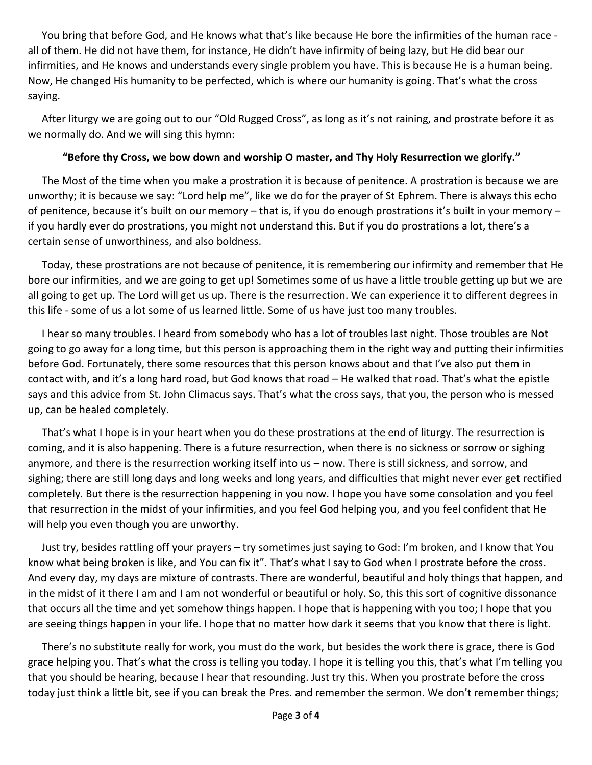You bring that before God, and He knows what that's like because He bore the infirmities of the human race all of them. He did not have them, for instance, He didn't have infirmity of being lazy, but He did bear our infirmities, and He knows and understands every single problem you have. This is because He is a human being. Now, He changed His humanity to be perfected, which is where our humanity is going. That's what the cross saying.

After liturgy we are going out to our "Old Rugged Cross", as long as it's not raining, and prostrate before it as we normally do. And we will sing this hymn:

## **"Before thy Cross, we bow down and worship O master, and Thy Holy Resurrection we glorify."**

The Most of the time when you make a prostration it is because of penitence. A prostration is because we are unworthy; it is because we say: "Lord help me", like we do for the prayer of St Ephrem. There is always this echo of penitence, because it's built on our memory – that is, if you do enough prostrations it's built in your memory – if you hardly ever do prostrations, you might not understand this. But if you do prostrations a lot, there's a certain sense of unworthiness, and also boldness.

Today, these prostrations are not because of penitence, it is remembering our infirmity and remember that He bore our infirmities, and we are going to get up! Sometimes some of us have a little trouble getting up but we are all going to get up. The Lord will get us up. There is the resurrection. We can experience it to different degrees in this life - some of us a lot some of us learned little. Some of us have just too many troubles.

I hear so many troubles. I heard from somebody who has a lot of troubles last night. Those troubles are Not going to go away for a long time, but this person is approaching them in the right way and putting their infirmities before God. Fortunately, there some resources that this person knows about and that I've also put them in contact with, and it's a long hard road, but God knows that road – He walked that road. That's what the epistle says and this advice from St. John Climacus says. That's what the cross says, that you, the person who is messed up, can be healed completely.

That's what I hope is in your heart when you do these prostrations at the end of liturgy. The resurrection is coming, and it is also happening. There is a future resurrection, when there is no sickness or sorrow or sighing anymore, and there is the resurrection working itself into us – now. There is still sickness, and sorrow, and sighing; there are still long days and long weeks and long years, and difficulties that might never ever get rectified completely. But there is the resurrection happening in you now. I hope you have some consolation and you feel that resurrection in the midst of your infirmities, and you feel God helping you, and you feel confident that He will help you even though you are unworthy.

Just try, besides rattling off your prayers – try sometimes just saying to God: I'm broken, and I know that You know what being broken is like, and You can fix it". That's what I say to God when I prostrate before the cross. And every day, my days are mixture of contrasts. There are wonderful, beautiful and holy things that happen, and in the midst of it there I am and I am not wonderful or beautiful or holy. So, this this sort of cognitive dissonance that occurs all the time and yet somehow things happen. I hope that is happening with you too; I hope that you are seeing things happen in your life. I hope that no matter how dark it seems that you know that there is light.

There's no substitute really for work, you must do the work, but besides the work there is grace, there is God grace helping you. That's what the cross is telling you today. I hope it is telling you this, that's what I'm telling you that you should be hearing, because I hear that resounding. Just try this. When you prostrate before the cross today just think a little bit, see if you can break the Pres. and remember the sermon. We don't remember things;